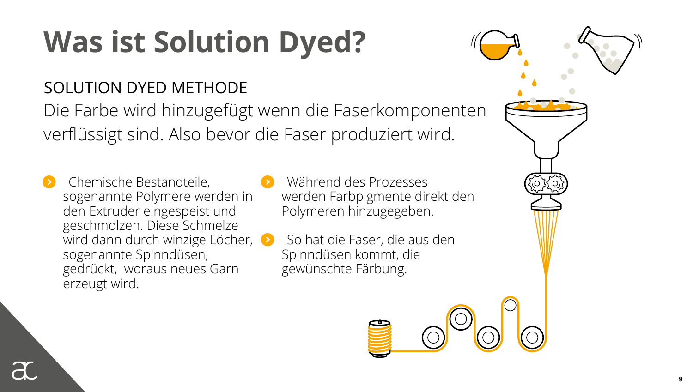# **Was ist Solution Dyed?**

### SOLUTION DYED METHODE

Die Farbe wird hinzugefügt wenn die Faserkomponenten verflüssigt sind. Also bevor die Faser produziert wird.

- 8 Chemische Bestandteile, sogenannte Polymere werden in den Extruder eingespeist und geschmolzen. Diese Schmelze wird dann durch winzige Löcher, sogenannte Spinndüsen, gedrückt, woraus neues Garn erzeugt wird.
- 8 Während des Prozesses werden Farbpigmente direkt den Polymeren hinzugegeben.

8 So hat die Faser, die aus den Spinndüsen kommt, die gewünschte Färbung.



9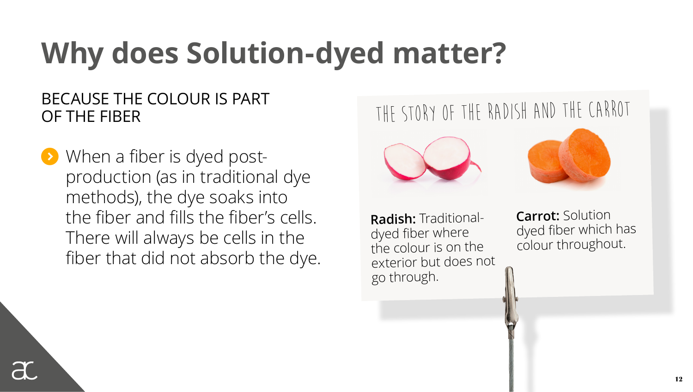## **Why does Solution-dyed matter?**

#### BECAUSE THE COLOUR IS PART OF THE FIBER

**8** When a fiber is dyed postproduction (as in traditional dye methods), the dye soaks into the fiber and fills the fiber's cells. There will always be cells in the fiber that did not absorb the dye.

### The story of the radish and the carrot





**Radish:** Traditionaldyed fiber where the colour is on the exterior but does not go through.

**Carrot:** Solution dyed fiber which has colour throughout.